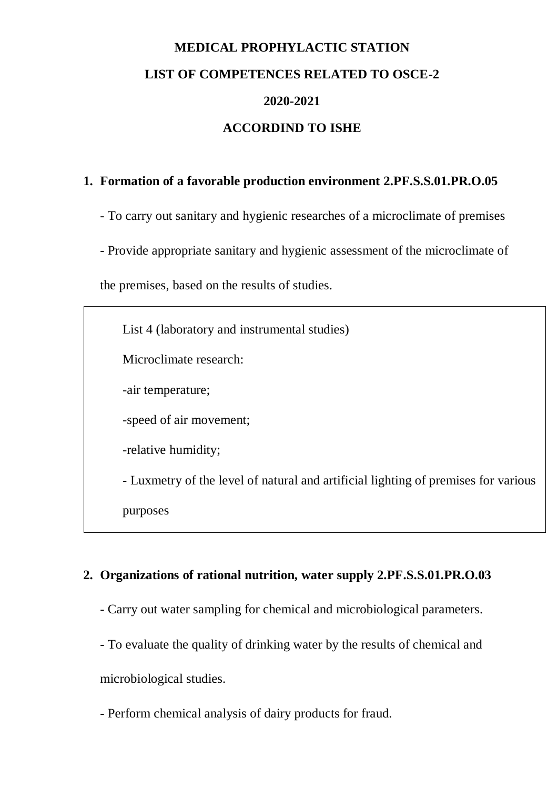## **MEDICAL PROPHYLACTIC STATION LIST OF COMPETENCES RELATED TO OSCE-2 2020-2021 ACCORDIND TO ISHE**

## **1. Formation of a favorable production environment 2.PF.S.S.01.PR.O.05**

- To carry out sanitary and hygienic researches of a microclimate of premises

- Provide appropriate sanitary and hygienic assessment of the microclimate of

the premises, based on the results of studies.

List 4 (laboratory and instrumental studies) Microclimate research: -air temperature; -speed of air movement; -relative humidity; - Luxmetry of the level of natural and artificial lighting of premises for various purposes

## **2. Organizations of rational nutrition, water supply 2.PF.S.S.01.PR.O.03**

- Carry out water sampling for chemical and microbiological parameters.
- To evaluate the quality of drinking water by the results of chemical and

microbiological studies.

- Perform chemical analysis of dairy products for fraud.